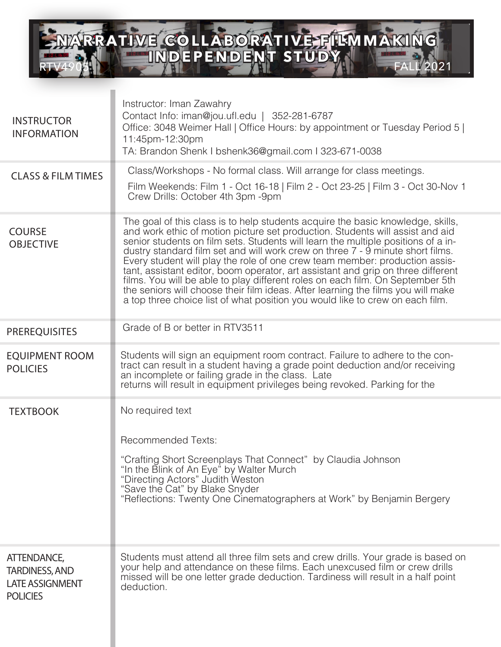

| <b>INSTRUCTOR</b><br><b>INFORMATION</b>                                           | Instructor: Iman Zawahry<br>Contact Info: iman@jou.ufl.edu   352-281-6787<br>Office: 3048 Weimer Hall   Office Hours: by appointment or Tuesday Period 5  <br>11:45pm-12:30pm<br>TA: Brandon Shenk I bshenk36@gmail.com I 323-671-0038                                                                                                                                                                                                                                                                                                                                                                                                                                                                                                                            |
|-----------------------------------------------------------------------------------|-------------------------------------------------------------------------------------------------------------------------------------------------------------------------------------------------------------------------------------------------------------------------------------------------------------------------------------------------------------------------------------------------------------------------------------------------------------------------------------------------------------------------------------------------------------------------------------------------------------------------------------------------------------------------------------------------------------------------------------------------------------------|
| <b>CLASS &amp; FILM TIMES</b>                                                     | Class/Workshops - No formal class. Will arrange for class meetings.<br>Film Weekends: Film 1 - Oct 16-18   Film 2 - Oct 23-25   Film 3 - Oct 30-Nov 1<br>Crew Drills: October 4th 3pm -9pm                                                                                                                                                                                                                                                                                                                                                                                                                                                                                                                                                                        |
| <b>COURSE</b><br><b>OBJECTIVE</b>                                                 | The goal of this class is to help students acquire the basic knowledge, skills,<br>and work ethic of motion picture set production. Students will assist and aid<br>senior students on film sets. Students will learn the multiple positions of a in-<br>dustry standard film set and will work crew on three 7 - 9 minute short films.<br>Every student will play the role of one crew team member: production assis-<br>tant, assistant editor, boom operator, art assistant and grip on three different<br>films. You will be able to play different roles on each film. On September 5th<br>the seniors will choose their film ideas. After learning the films you will make<br>a top three choice list of what position you would like to crew on each film. |
| <b>PREREQUISITES</b>                                                              | Grade of B or better in RTV3511                                                                                                                                                                                                                                                                                                                                                                                                                                                                                                                                                                                                                                                                                                                                   |
| <b>EQUIPMENT ROOM</b><br><b>POLICIES</b>                                          | Students will sign an equipment room contract. Failure to adhere to the con-<br>tract can result in a student having a grade point deduction and/or receiving<br>an incomplete or failing grade in the class. Late<br>returns will result in equipment privileges being revoked. Parking for the                                                                                                                                                                                                                                                                                                                                                                                                                                                                  |
| <b>TEXTBOOK</b>                                                                   | No required text<br><b>Recommended Texts:</b><br>"Crafting Short Screenplays That Connect" by Claudia Johnson<br>"In the Blink of An Eye" by Walter Murch<br>"Directing Actors" Judith Weston<br>"Save the Cat" by Blake Snyder<br>"Reflections: Twenty One Cinematographers at Work" by Benjamin Bergery                                                                                                                                                                                                                                                                                                                                                                                                                                                         |
| ATTENDANCE,<br><b>TARDINESS, AND</b><br><b>LATE ASSIGNMENT</b><br><b>POLICIES</b> | Students must attend all three film sets and crew drills. Your grade is based on<br>your help and attendance on these films. Each unexcused film or crew drills<br>missed will be one letter grade deduction. Tardiness will result in a half point<br>deduction.                                                                                                                                                                                                                                                                                                                                                                                                                                                                                                 |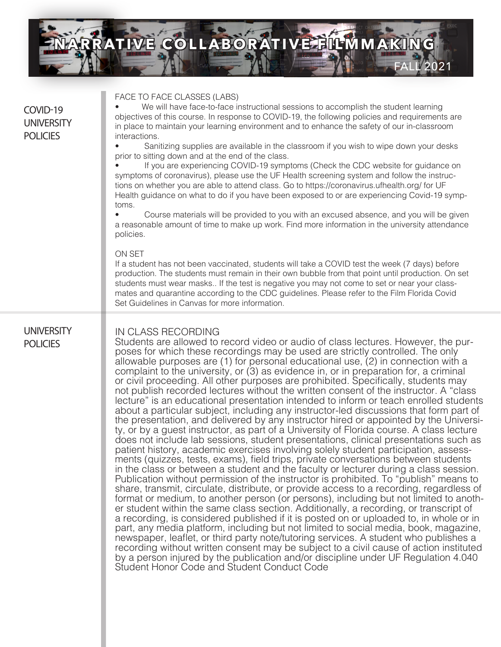

| COVID-19<br><b>UNIVERSITY</b><br><b>POLICIES</b> | FACE TO FACE CLASSES (LABS)<br>We will have face-to-face instructional sessions to accomplish the student learning<br>objectives of this course. In response to COVID-19, the following policies and requirements are<br>in place to maintain your learning environment and to enhance the safety of our in-classroom<br>interactions.<br>Sanitizing supplies are available in the classroom if you wish to wipe down your desks<br>prior to sitting down and at the end of the class.<br>If you are experiencing COVID-19 symptoms (Check the CDC website for guidance on<br>symptoms of coronavirus), please use the UF Health screening system and follow the instruc-<br>tions on whether you are able to attend class. Go to https://coronavirus.ufhealth.org/ for UF<br>Health guidance on what to do if you have been exposed to or are experiencing Covid-19 symp-<br>toms.<br>Course materials will be provided to you with an excused absence, and you will be given<br>a reasonable amount of time to make up work. Find more information in the university attendance<br>policies.<br>ON SET<br>If a student has not been vaccinated, students will take a COVID test the week (7 days) before<br>production. The students must remain in their own bubble from that point until production. On set<br>students must wear masks If the test is negative you may not come to set or near your class-<br>mates and quarantine according to the CDC guidelines. Please refer to the Film Florida Covid<br>Set Guidelines in Canvas for more information.                                                                                                                                                                                                                                                                                                                                                                                                                                                                                                                                                                                                                 |
|--------------------------------------------------|-----------------------------------------------------------------------------------------------------------------------------------------------------------------------------------------------------------------------------------------------------------------------------------------------------------------------------------------------------------------------------------------------------------------------------------------------------------------------------------------------------------------------------------------------------------------------------------------------------------------------------------------------------------------------------------------------------------------------------------------------------------------------------------------------------------------------------------------------------------------------------------------------------------------------------------------------------------------------------------------------------------------------------------------------------------------------------------------------------------------------------------------------------------------------------------------------------------------------------------------------------------------------------------------------------------------------------------------------------------------------------------------------------------------------------------------------------------------------------------------------------------------------------------------------------------------------------------------------------------------------------------------------------------------------------------------------------------------------------------------------------------------------------------------------------------------------------------------------------------------------------------------------------------------------------------------------------------------------------------------------------------------------------------------------------------------------------------------------------------------------------------------------------------------------------------|
| <b>UNIVERSITY</b><br><b>POLICIES</b>             | IN CLASS RECORDING<br>Students are allowed to record video or audio of class lectures. However, the pur-<br>poses for which these recordings may be used are strictly controlled. The only<br>allowable purposes are $(1)$ for personal educational use, $(2)$ in connection with a<br>complaint to the university, or (3) as evidence in, or in preparation for, a criminal<br>or civil proceeding. All other purposes are prohibited. Specifically, students may<br>not publish recorded lectures without the written consent of the instructor. A "class"<br>lecture" is an educational presentation intended to inform or teach enrolled students<br>about a particular subject, including any instructor-led discussions that form part of<br>the presentation, and delivered by any instructor hired or appointed by the Universi-<br>ty, or by a guest instructor, as part of a University of Florida course. A class lecture<br>does not include lab sessions, student presentations, clinical presentations such as<br>patient history, academic exercises involving solely student participation, assess-<br>ments (quizzes, tests, exams), field trips, private conversations between students<br>in the class or between a student and the faculty or lecturer during a class session.<br>Publication without permission of the instructor is prohibited. To "publish" means to<br>share, transmit, circulate, distribute, or provide access to a recording, regardless of<br>format or medium, to another person (or persons), including but not limited to anoth-<br>er student within the same class section. Additionally, a recording, or transcript of<br>a recording, is considered published if it is posted on or uploaded to, in whole or in<br>part, any media platform, including but not limited to social media, book, magazine,<br>newspaper, leaflet, or third party note/tutoring services. A student who publishes a<br>recording without written consent may be subject to a civil cause of action instituted<br>by a person injured by the publication and/or discipline under UF Regulation 4.040<br>Student Honor Code and Student Conduct Code |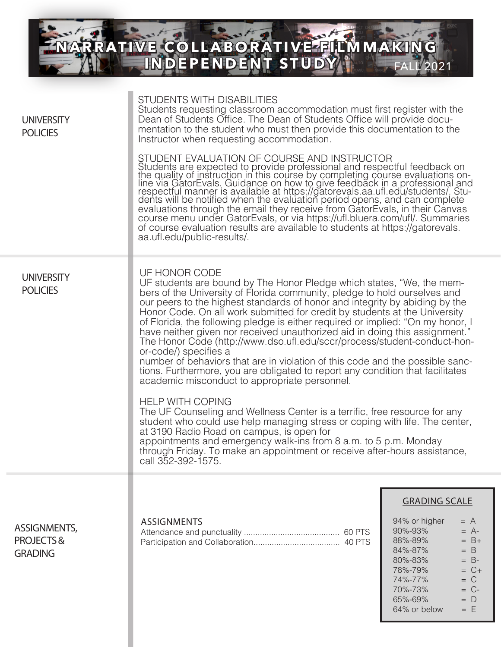**RTVAD BL** FALL 2021 **NARRATIVE COLLABORATIVE FILMMAKING TAN THE EXPENT STUDY** 

| <b>UNIVERSITY</b><br><b>POLICIES</b>               | <b>STUDENTS WITH DISABILITIES</b><br>Students requesting classroom accommodation must first register with the<br>Dean of Students Office. The Dean of Students Office will provide docu-<br>mentation to the student who must then provide this documentation to the<br>Instructor when requesting accommodation.                                                                                                                                                                                                                                                                                                                                                                                                                                                                                                                                                                                                                                                                                                                                                                                                                                                                                                                       |                                                                                                                                                                                                                             |
|----------------------------------------------------|-----------------------------------------------------------------------------------------------------------------------------------------------------------------------------------------------------------------------------------------------------------------------------------------------------------------------------------------------------------------------------------------------------------------------------------------------------------------------------------------------------------------------------------------------------------------------------------------------------------------------------------------------------------------------------------------------------------------------------------------------------------------------------------------------------------------------------------------------------------------------------------------------------------------------------------------------------------------------------------------------------------------------------------------------------------------------------------------------------------------------------------------------------------------------------------------------------------------------------------------|-----------------------------------------------------------------------------------------------------------------------------------------------------------------------------------------------------------------------------|
|                                                    | STUDENT EVALUATION OF COURSE AND INSTRUCTOR<br>Students are expected to provide professional and respectful feedback on<br>the quality of instruction in this course by completing course evaluations on-<br>line via GatorEvals. Guidance on how to give feedback in a professiona<br>evaluations through the email they receive from GatorEvals, in their Canvas<br>course menu under GatorEvals, or via https://ufl.bluera.com/ufl/. Summaries<br>of course evaluation results are available to students at https://gatorevals.<br>aa.ufl.edu/public-results/.                                                                                                                                                                                                                                                                                                                                                                                                                                                                                                                                                                                                                                                                       |                                                                                                                                                                                                                             |
| <b>UNIVERSITY</b><br><b>POLICIES</b>               | UF HONOR CODE<br>UF students are bound by The Honor Pledge which states, "We, the mem-<br>bers of the University of Florida community, pledge to hold ourselves and<br>our peers to the highest standards of honor and integrity by abiding by the<br>Honor Code. On all work submitted for credit by students at the University<br>of Florida, the following pledge is either required or implied: "On my honor, I<br>have neither given nor received unauthorized aid in doing this assignment."<br>The Honor Code (http://www.dso.ufl.edu/sccr/process/student-conduct-hon-<br>or-code/) specifies a<br>number of behaviors that are in violation of this code and the possible sanc-<br>tions. Furthermore, you are obligated to report any condition that facilitates<br>academic misconduct to appropriate personnel.<br><b>HELP WITH COPING</b><br>The UF Counseling and Wellness Center is a terrific, free resource for any<br>student who could use help managing stress or coping with life. The center,<br>at 3190 Radio Road on campus, is open for<br>appointments and emergency walk-ins from 8 a.m. to 5 p.m. Monday<br>through Friday. To make an appointment or receive after-hours assistance,<br>call 352-392-1575. |                                                                                                                                                                                                                             |
|                                                    |                                                                                                                                                                                                                                                                                                                                                                                                                                                                                                                                                                                                                                                                                                                                                                                                                                                                                                                                                                                                                                                                                                                                                                                                                                         | <b>GRADING SCALE</b>                                                                                                                                                                                                        |
| <b>ASSIGNMENTS,</b><br>PROJECTS&<br><b>GRADING</b> | <b>ASSIGNMENTS</b>                                                                                                                                                                                                                                                                                                                                                                                                                                                                                                                                                                                                                                                                                                                                                                                                                                                                                                                                                                                                                                                                                                                                                                                                                      | 94% or higher<br>$= A$<br>90%-93%<br>$= A$ -<br>88%-89%<br>$= B +$<br>84%-87%<br>$= B$<br>$= B$ -<br>80%-83%<br>78%-79%<br>$= C +$<br>$= C$<br>74%-77%<br>70%-73%<br>$= C$ -<br>65%-69%<br>$= D$<br>$=$ $E$<br>64% or below |
|                                                    |                                                                                                                                                                                                                                                                                                                                                                                                                                                                                                                                                                                                                                                                                                                                                                                                                                                                                                                                                                                                                                                                                                                                                                                                                                         |                                                                                                                                                                                                                             |